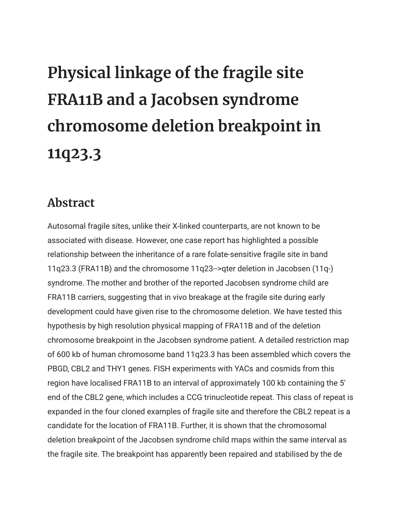## **Physical linkage of the fragile site FRA11B and a Jacobsen syndrome chromosome deletion breakpoint in 11q23.3**

## **Abstract**

Autosomal fragile sites, unlike their X-linked counterparts, are not known to be associated with disease. However, one case report has highlighted a possible relationship between the inheritance of a rare folate-sensitive fragile site in band 11q23.3 (FRA11B) and the chromosome 11q23-->qter deletion in Jacobsen (11q-) syndrome. The mother and brother of the reported Jacobsen syndrome child are FRA11B carriers, suggesting that in vivo breakage at the fragile site during early development could have given rise to the chromosome deletion. We have tested this hypothesis by high resolution physical mapping of FRA11B and of the deletion chromosome breakpoint in the Jacobsen syndrome patient. A detailed restriction map of 600 kb of human chromosome band 11q23.3 has been assembled which covers the PBGD, CBL2 and THY1 genes. FISH experiments with YACs and cosmids from this region have localised FRA11B to an interval of approximately 100 kb containing the 5' end of the CBL2 gene, which includes a CCG trinucleotide repeat. This class of repeat is expanded in the four cloned examples of fragile site and therefore the CBL2 repeat is a candidate for the location of FRA11B. Further, it is shown that the chromosomal deletion breakpoint of the Jacobsen syndrome child maps within the same interval as the fragile site. The breakpoint has apparently been repaired and stabilised by the de